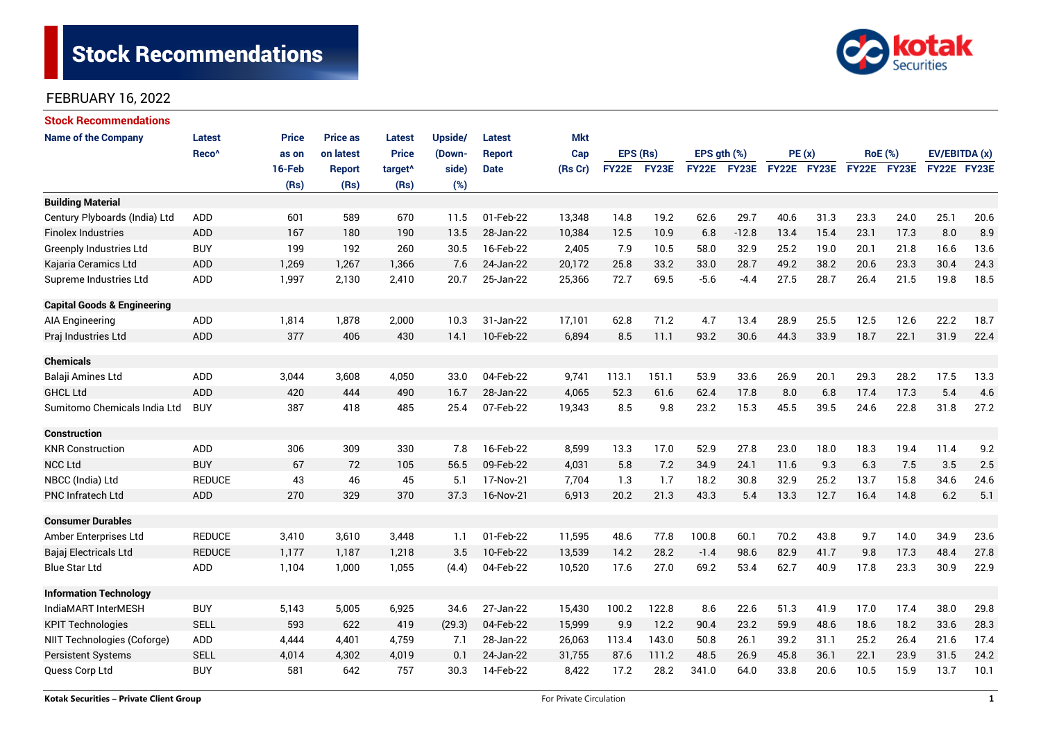

| <b>Stock Recommendations</b>           |                   |              |                 |                     |         |               |            |              |       |                  |         |             |      |                |      |               |      |
|----------------------------------------|-------------------|--------------|-----------------|---------------------|---------|---------------|------------|--------------|-------|------------------|---------|-------------|------|----------------|------|---------------|------|
| <b>Name of the Company</b>             | <b>Latest</b>     | <b>Price</b> | <b>Price as</b> | <b>Latest</b>       | Upside/ | <b>Latest</b> | <b>Mkt</b> |              |       |                  |         |             |      |                |      |               |      |
|                                        | Reco <sup>^</sup> | as on        | on latest       | <b>Price</b>        | (Down-  | <b>Report</b> | Cap        | EPS (Rs)     |       | EPS $qth$ $(\%)$ |         | PE(x)       |      | <b>RoE</b> (%) |      | EV/EBITDA (x) |      |
|                                        |                   | 16-Feb       | <b>Report</b>   | target <sup>^</sup> | side)   | <b>Date</b>   | (Rs Cr)    | <b>FY22E</b> | FY23E | FY22E FY23E      |         | FY22E FY23E |      | FY22E FY23E    |      | FY22E FY23E   |      |
|                                        |                   | (Rs)         | (Rs)            | (Rs)                | (%)     |               |            |              |       |                  |         |             |      |                |      |               |      |
| <b>Building Material</b>               |                   |              |                 |                     |         |               |            |              |       |                  |         |             |      |                |      |               |      |
| Century Plyboards (India) Ltd          | <b>ADD</b>        | 601          | 589             | 670                 | 11.5    | 01-Feb-22     | 13,348     | 14.8         | 19.2  | 62.6             | 29.7    | 40.6        | 31.3 | 23.3           | 24.0 | 25.1          | 20.6 |
| <b>Finolex Industries</b>              | ADD               | 167          | 180             | 190                 | 13.5    | 28-Jan-22     | 10,384     | 12.5         | 10.9  | 6.8              | $-12.8$ | 13.4        | 15.4 | 23.1           | 17.3 | 8.0           | 8.9  |
| Greenply Industries Ltd                | <b>BUY</b>        | 199          | 192             | 260                 | 30.5    | 16-Feb-22     | 2,405      | 7.9          | 10.5  | 58.0             | 32.9    | 25.2        | 19.0 | 20.1           | 21.8 | 16.6          | 13.6 |
| Kajaria Ceramics Ltd                   | <b>ADD</b>        | 1,269        | 1,267           | 1,366               | 7.6     | 24-Jan-22     | 20,172     | 25.8         | 33.2  | 33.0             | 28.7    | 49.2        | 38.2 | 20.6           | 23.3 | 30.4          | 24.3 |
| Supreme Industries Ltd                 | <b>ADD</b>        | 1,997        | 2,130           | 2,410               | 20.7    | 25-Jan-22     | 25,366     | 72.7         | 69.5  | $-5.6$           | $-4.4$  | 27.5        | 28.7 | 26.4           | 21.5 | 19.8          | 18.5 |
| <b>Capital Goods &amp; Engineering</b> |                   |              |                 |                     |         |               |            |              |       |                  |         |             |      |                |      |               |      |
| <b>AIA Engineering</b>                 | ADD               | 1,814        | 1,878           | 2,000               | 10.3    | 31-Jan-22     | 17,101     | 62.8         | 71.2  | 4.7              | 13.4    | 28.9        | 25.5 | 12.5           | 12.6 | 22.2          | 18.7 |
| Praj Industries Ltd                    | <b>ADD</b>        | 377          | 406             | 430                 | 14.1    | 10-Feb-22     | 6,894      | 8.5          | 11.1  | 93.2             | 30.6    | 44.3        | 33.9 | 18.7           | 22.1 | 31.9          | 22.4 |
| <b>Chemicals</b>                       |                   |              |                 |                     |         |               |            |              |       |                  |         |             |      |                |      |               |      |
| Balaji Amines Ltd                      | ADD               | 3,044        | 3,608           | 4,050               | 33.0    | 04-Feb-22     | 9,741      | 113.1        | 151.1 | 53.9             | 33.6    | 26.9        | 20.1 | 29.3           | 28.2 | 17.5          | 13.3 |
| <b>GHCL Ltd</b>                        | <b>ADD</b>        | 420          | 444             | 490                 | 16.7    | 28-Jan-22     | 4,065      | 52.3         | 61.6  | 62.4             | 17.8    | 8.0         | 6.8  | 17.4           | 17.3 | 5.4           | 4.6  |
| Sumitomo Chemicals India Ltd           | <b>BUY</b>        | 387          | 418             | 485                 | 25.4    | 07-Feb-22     | 19,343     | 8.5          | 9.8   | 23.2             | 15.3    | 45.5        | 39.5 | 24.6           | 22.8 | 31.8          | 27.2 |
| <b>Construction</b>                    |                   |              |                 |                     |         |               |            |              |       |                  |         |             |      |                |      |               |      |
| <b>KNR Construction</b>                | <b>ADD</b>        | 306          | 309             | 330                 | 7.8     | 16-Feb-22     | 8,599      | 13.3         | 17.0  | 52.9             | 27.8    | 23.0        | 18.0 | 18.3           | 19.4 | 11.4          | 9.2  |
| <b>NCC Ltd</b>                         | <b>BUY</b>        | 67           | 72              | 105                 | 56.5    | 09-Feb-22     | 4,031      | 5.8          | 7.2   | 34.9             | 24.1    | 11.6        | 9.3  | 6.3            | 7.5  | 3.5           | 2.5  |
| NBCC (India) Ltd                       | <b>REDUCE</b>     | 43           | 46              | 45                  | 5.1     | 17-Nov-21     | 7,704      | 1.3          | 1.7   | 18.2             | 30.8    | 32.9        | 25.2 | 13.7           | 15.8 | 34.6          | 24.6 |
| PNC Infratech Ltd                      | <b>ADD</b>        | 270          | 329             | 370                 | 37.3    | 16-Nov-21     | 6,913      | 20.2         | 21.3  | 43.3             | 5.4     | 13.3        | 12.7 | 16.4           | 14.8 | 6.2           | 5.1  |
| <b>Consumer Durables</b>               |                   |              |                 |                     |         |               |            |              |       |                  |         |             |      |                |      |               |      |
| Amber Enterprises Ltd                  | <b>REDUCE</b>     | 3,410        | 3,610           | 3,448               | 1.1     | 01-Feb-22     | 11,595     | 48.6         | 77.8  | 100.8            | 60.1    | 70.2        | 43.8 | 9.7            | 14.0 | 34.9          | 23.6 |
| Bajaj Electricals Ltd                  | <b>REDUCE</b>     | 1,177        | 1,187           | 1,218               | 3.5     | 10-Feb-22     | 13,539     | 14.2         | 28.2  | $-1.4$           | 98.6    | 82.9        | 41.7 | 9.8            | 17.3 | 48.4          | 27.8 |
| <b>Blue Star Ltd</b>                   | ADD               | 1,104        | 1,000           | 1,055               | (4.4)   | 04-Feb-22     | 10,520     | 17.6         | 27.0  | 69.2             | 53.4    | 62.7        | 40.9 | 17.8           | 23.3 | 30.9          | 22.9 |
| <b>Information Technology</b>          |                   |              |                 |                     |         |               |            |              |       |                  |         |             |      |                |      |               |      |
| IndiaMART InterMESH                    | <b>BUY</b>        | 5,143        | 5,005           | 6,925               | 34.6    | 27-Jan-22     | 15,430     | 100.2        | 122.8 | 8.6              | 22.6    | 51.3        | 41.9 | 17.0           | 17.4 | 38.0          | 29.8 |
| <b>KPIT Technologies</b>               | <b>SELL</b>       | 593          | 622             | 419                 | (29.3)  | 04-Feb-22     | 15,999     | 9.9          | 12.2  | 90.4             | 23.2    | 59.9        | 48.6 | 18.6           | 18.2 | 28.3<br>33.6  |      |
| NIIT Technologies (Coforge)            | ADD               | 4,444        | 4,401           | 4,759               | 7.1     | 28-Jan-22     | 26,063     | 113.4        | 143.0 | 50.8             | 26.1    | 39.2        | 31.1 | 25.2           | 26.4 | 21.6          | 17.4 |
| <b>Persistent Systems</b>              | <b>SELL</b>       | 4,014        | 4,302           | 4,019               | 0.1     | 24-Jan-22     | 31,755     | 87.6         | 111.2 | 48.5             | 26.9    | 45.8        | 36.1 | 22.1           | 23.9 | 31.5          | 24.2 |
| Quess Corp Ltd                         | <b>BUY</b>        | 581          | 642             | 757                 | 30.3    | 14-Feb-22     | 8,422      | 17.2         | 28.2  | 341.0            | 64.0    | 33.8        | 20.6 | 10.5           | 15.9 | 13.7          | 10.1 |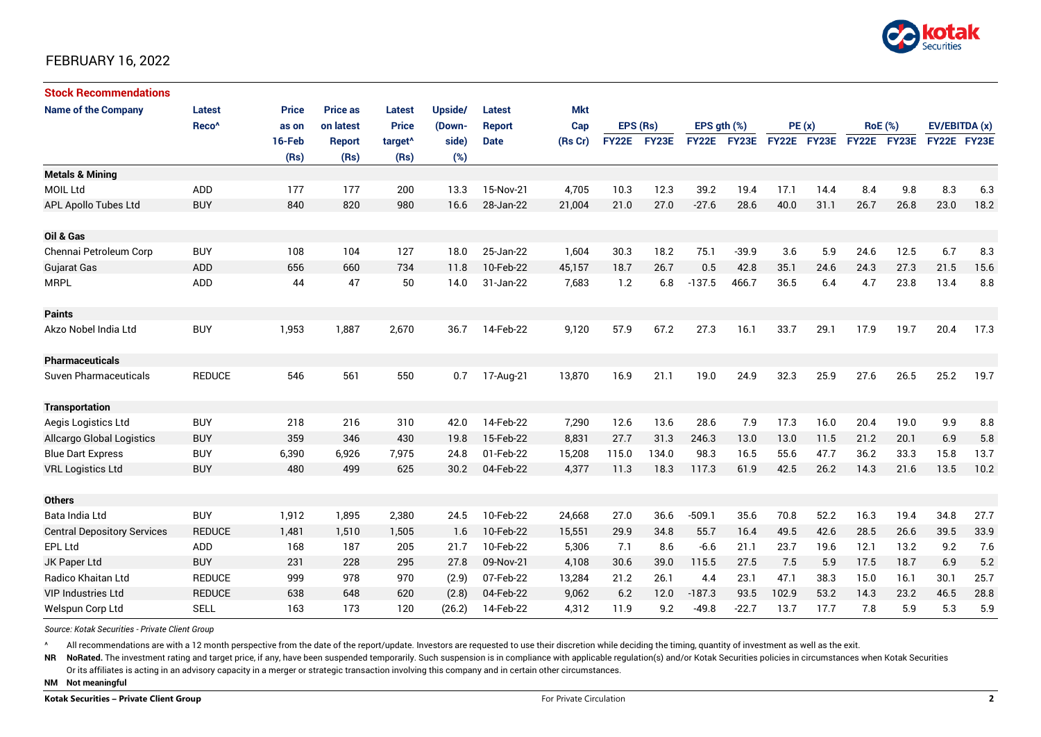

| <b>Stock Recommendations</b>       |                   |              |                 |                     |         |               |            |          |             |                  |             |             |      |                |             |               |      |
|------------------------------------|-------------------|--------------|-----------------|---------------------|---------|---------------|------------|----------|-------------|------------------|-------------|-------------|------|----------------|-------------|---------------|------|
| <b>Name of the Company</b>         | <b>Latest</b>     | <b>Price</b> | <b>Price as</b> | Latest              | Upside/ | <b>Latest</b> | <b>Mkt</b> |          |             |                  |             |             |      |                |             |               |      |
|                                    | Reco <sup>^</sup> | as on        | on latest       | <b>Price</b>        | (Down-  | <b>Report</b> | Cap        | EPS (Rs) |             | EPS $qth$ $(\%)$ |             | PE(x)       |      | <b>RoE</b> (%) |             | EV/EBITDA (x) |      |
|                                    |                   | 16-Feb       | <b>Report</b>   | target <sup>^</sup> | side)   | <b>Date</b>   | (Rs Cr)    |          | FY22E FY23E |                  | FY22E FY23E | FY22E FY23E |      |                | FY22E FY23E | FY22E FY23E   |      |
|                                    |                   | (Rs)         | (Rs)            | (Rs)                | (%)     |               |            |          |             |                  |             |             |      |                |             |               |      |
| <b>Metals &amp; Mining</b>         |                   |              |                 |                     |         |               |            |          |             |                  |             |             |      |                |             |               |      |
| <b>MOIL Ltd</b>                    | ADD               | 177          | 177             | 200                 | 13.3    | 15-Nov-21     | 4,705      | 10.3     | 12.3        | 39.2             | 19.4        | 17.1        | 14.4 | 8.4            | 9.8         | 8.3           | 6.3  |
| APL Apollo Tubes Ltd               | <b>BUY</b>        | 840          | 820             | 980                 | 16.6    | 28-Jan-22     | 21,004     | 21.0     | 27.0        | $-27.6$          | 28.6        | 40.0        | 31.1 | 26.7           | 26.8        | 23.0          | 18.2 |
| Oil & Gas                          |                   |              |                 |                     |         |               |            |          |             |                  |             |             |      |                |             |               |      |
| Chennai Petroleum Corp             | <b>BUY</b>        | 108          | 104             | 127                 | 18.0    | 25-Jan-22     | 1,604      | 30.3     | 18.2        | 75.1             | $-39.9$     | 3.6         | 5.9  | 24.6           | 12.5        | 6.7           | 8.3  |
| Gujarat Gas                        | ADD               | 656          | 660             | 734                 | 11.8    | 10-Feb-22     | 45,157     | 18.7     | 26.7        | 0.5              | 42.8        | 35.1        | 24.6 | 24.3           | 27.3        | 21.5          | 15.6 |
| <b>MRPL</b>                        | ADD               | 44           | 47              | 50                  | 14.0    | 31-Jan-22     | 7,683      | 1.2      | 6.8         | $-137.5$         | 466.7       | 36.5        | 6.4  | 4.7            | 23.8        | 13.4          | 8.8  |
| <b>Paints</b>                      |                   |              |                 |                     |         |               |            |          |             |                  |             |             |      |                |             |               |      |
| Akzo Nobel India Ltd               | <b>BUY</b>        | 1,953        | 1,887           | 2,670               | 36.7    | 14-Feb-22     | 9,120      | 57.9     | 67.2        | 27.3             | 16.1        | 33.7        | 29.1 | 17.9           | 19.7        | 20.4          | 17.3 |
| <b>Pharmaceuticals</b>             |                   |              |                 |                     |         |               |            |          |             |                  |             |             |      |                |             |               |      |
| <b>Suven Pharmaceuticals</b>       | <b>REDUCE</b>     | 546          | 561             | 550                 | 0.7     | 17-Aug-21     | 13,870     | 16.9     | 21.1        | 19.0             | 24.9        | 32.3        | 25.9 | 27.6           | 26.5        | 25.2          | 19.7 |
| <b>Transportation</b>              |                   |              |                 |                     |         |               |            |          |             |                  |             |             |      |                |             |               |      |
| Aegis Logistics Ltd                | <b>BUY</b>        | 218          | 216             | 310                 | 42.0    | 14-Feb-22     | 7,290      | 12.6     | 13.6        | 28.6             | 7.9         | 17.3        | 16.0 | 20.4           | 19.0        | 9.9           | 8.8  |
| <b>Allcargo Global Logistics</b>   | <b>BUY</b>        | 359          | 346             | 430                 | 19.8    | 15-Feb-22     | 8,831      | 27.7     | 31.3        | 246.3            | 13.0        | 13.0        | 11.5 | 21.2           | 20.1        | 6.9           | 5.8  |
| <b>Blue Dart Express</b>           | <b>BUY</b>        | 6,390        | 6,926           | 7,975               | 24.8    | 01-Feb-22     | 15,208     | 115.0    | 134.0       | 98.3             | 16.5        | 55.6        | 47.7 | 36.2           | 33.3        | 15.8          | 13.7 |
| <b>VRL Logistics Ltd</b>           | <b>BUY</b>        | 480          | 499             | 625                 | 30.2    | 04-Feb-22     | 4,377      | 11.3     | 18.3        | 117.3            | 61.9        | 42.5        | 26.2 | 14.3           | 21.6        | 13.5          | 10.2 |
| <b>Others</b>                      |                   |              |                 |                     |         |               |            |          |             |                  |             |             |      |                |             |               |      |
| Bata India Ltd                     | <b>BUY</b>        | 1,912        | 1,895           | 2,380               | 24.5    | 10-Feb-22     | 24,668     | 27.0     | 36.6        | $-509.1$         | 35.6        | 70.8        | 52.2 | 16.3           | 19.4        | 34.8          | 27.7 |
| <b>Central Depository Services</b> | <b>REDUCE</b>     | 1,481        | 1.510           | 1,505               | 1.6     | 10-Feb-22     | 15,551     | 29.9     | 34.8        | 55.7             | 16.4        | 49.5        | 42.6 | 28.5           | 26.6        | 39.5          | 33.9 |
| EPL Ltd                            | ADD               | 168          | 187             | 205                 | 21.7    | 10-Feb-22     | 5,306      | 7.1      | 8.6         | $-6.6$           | 21.1        | 23.7        | 19.6 | 12.1           | 13.2        | 9.2           | 7.6  |
| JK Paper Ltd                       | <b>BUY</b>        | 231          | 228             | 295                 | 27.8    | 09-Nov-21     | 4,108      | 30.6     | 39.0        | 115.5            | 27.5        | 7.5         | 5.9  | 17.5           | 18.7        | 6.9           | 5.2  |
| Radico Khaitan Ltd                 | <b>REDUCE</b>     | 999          | 978             | 970                 | (2.9)   | 07-Feb-22     | 13,284     | 21.2     | 26.1        | 4.4              | 23.1        | 47.1        | 38.3 | 15.0           | 16.1        | 30.1          | 25.7 |
| <b>VIP Industries Ltd</b>          | <b>REDUCE</b>     | 638          | 648             | 620                 | (2.8)   | 04-Feb-22     | 9,062      | 6.2      | 12.0        | $-187.3$         | 93.5        | 102.9       | 53.2 | 14.3           | 23.2        | 46.5          | 28.8 |
| Welspun Corp Ltd                   | <b>SELL</b>       | 163          | 173             | 120                 | (26.2)  | 14-Feb-22     | 4,312      | 11.9     | 9.2         | $-49.8$          | $-22.7$     | 13.7        | 17.7 | 7.8            | 5.9         | 5.3           | 5.9  |

*Source: Kotak Securities - Private Client Group*

All recommendations are with a 12 month perspective from the date of the report/update. Investors are requested to use their discretion while deciding the timing, quantity of investment as well as the exit.

NR NoRated. The investment rating and target price, if any, have been suspended temporarily. Such suspension is in compliance with applicable regulation(s) and/or Kotak Securities policies in circumstances when Kotak Secur

Or its affiliates is acting in an advisory capacity in a merger or strategic transaction involving this company and in certain other circumstances.

**NM Not meaningful**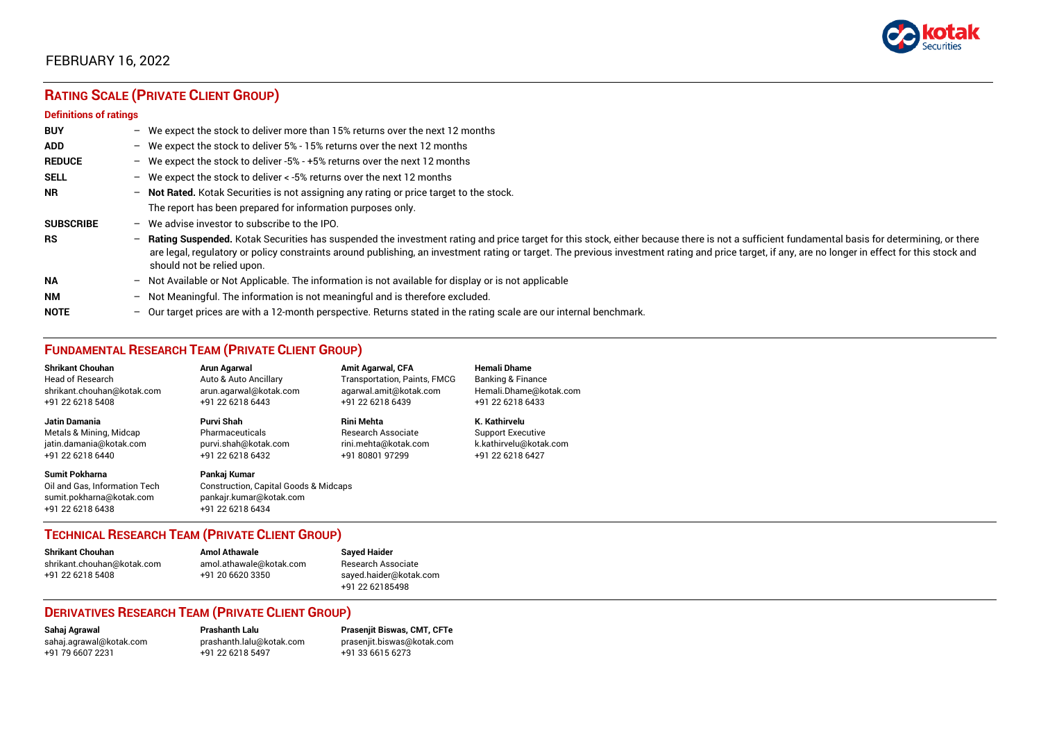

# **RATING SCALE (PRIVATE CLIENT GROUP)**

#### **Definitions of ratings**

| <b>BUY</b>       |   | - We expect the stock to deliver more than 15% returns over the next 12 months                                                                                                                                                                                                                                                                                                                                                     |
|------------------|---|------------------------------------------------------------------------------------------------------------------------------------------------------------------------------------------------------------------------------------------------------------------------------------------------------------------------------------------------------------------------------------------------------------------------------------|
| <b>ADD</b>       |   | - We expect the stock to deliver 5% - 15% returns over the next 12 months                                                                                                                                                                                                                                                                                                                                                          |
| <b>REDUCE</b>    |   | - We expect the stock to deliver -5% - +5% returns over the next 12 months                                                                                                                                                                                                                                                                                                                                                         |
| <b>SELL</b>      |   | - We expect the stock to deliver $\lt$ -5% returns over the next 12 months                                                                                                                                                                                                                                                                                                                                                         |
| <b>NR</b>        |   | - Not Rated. Kotak Securities is not assigning any rating or price target to the stock.                                                                                                                                                                                                                                                                                                                                            |
|                  |   | The report has been prepared for information purposes only.                                                                                                                                                                                                                                                                                                                                                                        |
| <b>SUBSCRIBE</b> |   | $-$ We advise investor to subscribe to the IPO.                                                                                                                                                                                                                                                                                                                                                                                    |
| <b>RS</b>        |   | - Rating Suspended. Kotak Securities has suspended the investment rating and price target for this stock, either because there is not a sufficient fundamental basis for determining, or there<br>are legal, regulatory or policy constraints around publishing, an investment rating or target. The previous investment rating and price target, if any, are no longer in effect for this stock and<br>should not be relied upon. |
| <b>NA</b>        |   | $-$ Not Available or Not Applicable. The information is not available for display or is not applicable                                                                                                                                                                                                                                                                                                                             |
| <b>NM</b>        |   | - Not Meaningful. The information is not meaningful and is therefore excluded.                                                                                                                                                                                                                                                                                                                                                     |
| <b>NOTE</b>      | - | Our target prices are with a 12-month perspective. Returns stated in the rating scale are our internal benchmark.                                                                                                                                                                                                                                                                                                                  |

## **FUNDAMENTAL RESEARCH TEAM (PRIVATE CLIENT GROUP)**

| <b>Shrikant Chouhan</b>                                                                                | Arun Agarwal                                                                                                    | <b>Amit Agarwal, CFA</b>     | <b>Hemali Dhame</b>      |
|--------------------------------------------------------------------------------------------------------|-----------------------------------------------------------------------------------------------------------------|------------------------------|--------------------------|
| <b>Head of Research</b>                                                                                | Auto & Auto Ancillary                                                                                           | Transportation, Paints, FMCG | Banking & Finance        |
| shrikant.chouhan@kotak.com                                                                             | arun.agarwal@kotak.com                                                                                          | agarwal.amit@kotak.com       | Hemali.Dhame@kotak.com   |
| +91 22 6218 5408                                                                                       | +91 22 6218 6443                                                                                                | +91 22 6218 6439             | +91 22 6218 6433         |
| <b>Jatin Damania</b>                                                                                   | <b>Purvi Shah</b>                                                                                               | <b>Rini Mehta</b>            | K. Kathirvelu            |
| Metals & Mining, Midcap                                                                                | Pharmaceuticals                                                                                                 | Research Associate           | <b>Support Executive</b> |
| jatin.damania@kotak.com                                                                                | purvi.shah@kotak.com                                                                                            | rini.mehta@kotak.com         | k.kathirvelu@kotak.com   |
| +91 22 6218 6440                                                                                       | +91 22 6218 6432                                                                                                | +91 80801 97299              | +91 22 6218 6427         |
| <b>Sumit Pokharna</b><br>Oil and Gas. Information Tech<br>sumit.pokharna@kotak.com<br>+91 22 6218 6438 | Pankaj Kumar<br><b>Construction, Capital Goods &amp; Midcaps</b><br>pankajr.kumar@kotak.com<br>+91 22 6218 6434 |                              |                          |

## **TECHNICAL RESEARCH TEAM (PRIVATE CLIENT GROUP)**

| <b>Shrikant Chouhan</b>    | <b>Amol Athawale</b>    |  |
|----------------------------|-------------------------|--|
| shrikant.chouhan@kotak.com | amol.athawale@kotak.com |  |
| +91 22 6218 5408           | +91 20 6620 3350        |  |
|                            |                         |  |

#### **Sayed Haider** Research Associate [sayed.haider@kotak.com](mailto:sayed.haider@kotak.com) +91 22 62185498

## **DERIVATIVES RESEARCH TEAM (PRIVATE CLIENT GROUP)**

+91 22 6218 5497 +91 33 6615 6273

**Sahaj Agrawal Prashanth Lalu Prasenjit Biswas, CMT, CFTe** [sahaj.agrawal@kotak.com](mailto:sahaj.agrawal@kotak.com) [prashanth.lalu@kotak.com](mailto:prashanth.lalu@kotak.com) [prasenjit.biswas@kotak.com](mailto:prasenjit.biswas@kotak.com)